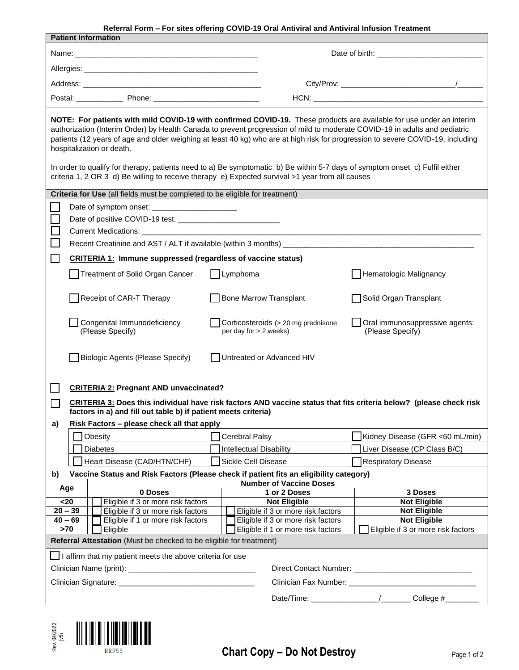**Referral Form – For sites offering COVID-19 Oral Antiviral and Antiviral Infusion Treatment** 

| <b>Patient Information</b>                                                                                                                                                                                                                                                                                                                                                                                                                                                                                                                        |                                                                                                                    |                                    |                                                               |                                                                                                                                                                                                                                |  |
|---------------------------------------------------------------------------------------------------------------------------------------------------------------------------------------------------------------------------------------------------------------------------------------------------------------------------------------------------------------------------------------------------------------------------------------------------------------------------------------------------------------------------------------------------|--------------------------------------------------------------------------------------------------------------------|------------------------------------|---------------------------------------------------------------|--------------------------------------------------------------------------------------------------------------------------------------------------------------------------------------------------------------------------------|--|
| Name: Name: Name: Name: Name: Name: Name: Name: Name: Name: Name: Name: Name: Name: Name: Name: Name: Name: Name: Name: Name: Name: Name: Name: Name: Name: Name: Name: Name: Name: Name: Name: Name: Name: Name: Name: Name:                                                                                                                                                                                                                                                                                                                     |                                                                                                                    |                                    |                                                               |                                                                                                                                                                                                                                |  |
|                                                                                                                                                                                                                                                                                                                                                                                                                                                                                                                                                   |                                                                                                                    |                                    |                                                               |                                                                                                                                                                                                                                |  |
|                                                                                                                                                                                                                                                                                                                                                                                                                                                                                                                                                   |                                                                                                                    |                                    |                                                               |                                                                                                                                                                                                                                |  |
|                                                                                                                                                                                                                                                                                                                                                                                                                                                                                                                                                   |                                                                                                                    |                                    |                                                               |                                                                                                                                                                                                                                |  |
|                                                                                                                                                                                                                                                                                                                                                                                                                                                                                                                                                   |                                                                                                                    |                                    |                                                               | HCN: HONE AND A CONTRACT A CONTRACT AND A CONTRACT OF THE CONTRACT OF THE CONTRACT OF THE CONTRACT OF THE CONTRACT OF THE CONTRACT OF THE CONTRACT OF THE CONTRACT OF THE CONTRACT OF THE CONTRACT OF THE CONTRACT OF THE CONT |  |
| NOTE: For patients with mild COVID-19 with confirmed COVID-19. These products are available for use under an interim<br>authorization (Interim Order) by Health Canada to prevent progression of mild to moderate COVID-19 in adults and pediatric<br>patients (12 years of age and older weighing at least 40 kg) who are at high risk for progression to severe COVID-19, including<br>hospitalization or death.<br>In order to qualify for therapy, patients need to a) Be symptomatic b) Be within 5-7 days of symptom onset c) Fulfil either |                                                                                                                    |                                    |                                                               |                                                                                                                                                                                                                                |  |
| criteria 1, 2 OR 3 d) Be willing to receive therapy e) Expected survival >1 year from all causes                                                                                                                                                                                                                                                                                                                                                                                                                                                  |                                                                                                                    |                                    |                                                               |                                                                                                                                                                                                                                |  |
| Criteria for Use (all fields must be completed to be eligible for treatment)                                                                                                                                                                                                                                                                                                                                                                                                                                                                      |                                                                                                                    |                                    |                                                               |                                                                                                                                                                                                                                |  |
|                                                                                                                                                                                                                                                                                                                                                                                                                                                                                                                                                   |                                                                                                                    |                                    |                                                               |                                                                                                                                                                                                                                |  |
|                                                                                                                                                                                                                                                                                                                                                                                                                                                                                                                                                   |                                                                                                                    |                                    |                                                               |                                                                                                                                                                                                                                |  |
|                                                                                                                                                                                                                                                                                                                                                                                                                                                                                                                                                   |                                                                                                                    |                                    |                                                               |                                                                                                                                                                                                                                |  |
|                                                                                                                                                                                                                                                                                                                                                                                                                                                                                                                                                   |                                                                                                                    |                                    |                                                               |                                                                                                                                                                                                                                |  |
|                                                                                                                                                                                                                                                                                                                                                                                                                                                                                                                                                   |                                                                                                                    |                                    |                                                               |                                                                                                                                                                                                                                |  |
|                                                                                                                                                                                                                                                                                                                                                                                                                                                                                                                                                   | <b>CRITERIA 1: Immune suppressed (regardless of vaccine status)</b>                                                |                                    |                                                               |                                                                                                                                                                                                                                |  |
|                                                                                                                                                                                                                                                                                                                                                                                                                                                                                                                                                   | Treatment of Solid Organ Cancer                                                                                    | $\Box$ Lymphoma                    |                                                               | Hematologic Malignancy                                                                                                                                                                                                         |  |
|                                                                                                                                                                                                                                                                                                                                                                                                                                                                                                                                                   | Receipt of CAR-T Therapy                                                                                           |                                    | Bone Marrow Transplant                                        | Solid Organ Transplant                                                                                                                                                                                                         |  |
|                                                                                                                                                                                                                                                                                                                                                                                                                                                                                                                                                   | Congenital Immunodeficiency<br>(Please Specify)                                                                    |                                    | Corticosteroids (> 20 mg prednisone<br>per day for > 2 weeks) | Oral immunosuppressive agents:<br>(Please Specify)                                                                                                                                                                             |  |
|                                                                                                                                                                                                                                                                                                                                                                                                                                                                                                                                                   | <b>Biologic Agents (Please Specify)</b>                                                                            |                                    | Untreated or Advanced HIV                                     |                                                                                                                                                                                                                                |  |
|                                                                                                                                                                                                                                                                                                                                                                                                                                                                                                                                                   | <b>CRITERIA 2: Pregnant AND unvaccinated?</b>                                                                      |                                    |                                                               |                                                                                                                                                                                                                                |  |
|                                                                                                                                                                                                                                                                                                                                                                                                                                                                                                                                                   | CRITERIA 3: Does this individual have risk factors AND vaccine status that fits criteria below? (please check risk |                                    |                                                               |                                                                                                                                                                                                                                |  |
| factors in a) and fill out table b) if patient meets criteria)                                                                                                                                                                                                                                                                                                                                                                                                                                                                                    |                                                                                                                    |                                    |                                                               |                                                                                                                                                                                                                                |  |
| a)                                                                                                                                                                                                                                                                                                                                                                                                                                                                                                                                                | Risk Factors - please check all that apply                                                                         |                                    |                                                               |                                                                                                                                                                                                                                |  |
|                                                                                                                                                                                                                                                                                                                                                                                                                                                                                                                                                   | Obesity                                                                                                            |                                    | Cerebral Palsy                                                | Kidney Disease (GFR <60 mL/min)                                                                                                                                                                                                |  |
|                                                                                                                                                                                                                                                                                                                                                                                                                                                                                                                                                   | <b>Diabetes</b>                                                                                                    |                                    | Intellectual Disability                                       | Liver Disease (CP Class B/C)                                                                                                                                                                                                   |  |
|                                                                                                                                                                                                                                                                                                                                                                                                                                                                                                                                                   | Heart Disease (CAD/HTN/CHF)                                                                                        |                                    | <b>Sickle Cell Disease</b>                                    | <b>Respiratory Disease</b>                                                                                                                                                                                                     |  |
| Vaccine Status and Risk Factors (Please check if patient fits an eligibility category)<br>b)                                                                                                                                                                                                                                                                                                                                                                                                                                                      |                                                                                                                    |                                    |                                                               |                                                                                                                                                                                                                                |  |
| <b>Number of Vaccine Doses</b><br>Age                                                                                                                                                                                                                                                                                                                                                                                                                                                                                                             |                                                                                                                    |                                    |                                                               |                                                                                                                                                                                                                                |  |
| 0 Doses                                                                                                                                                                                                                                                                                                                                                                                                                                                                                                                                           |                                                                                                                    |                                    | 1 or 2 Doses                                                  | 3 Doses                                                                                                                                                                                                                        |  |
| $20$<br>Eligible if 3 or more risk factors<br>$20 - 39$<br>Eligible if 3 or more risk factors                                                                                                                                                                                                                                                                                                                                                                                                                                                     |                                                                                                                    |                                    | <b>Not Eligible</b><br>Eligible if 3 or more risk factors     | <b>Not Eligible</b><br><b>Not Eligible</b>                                                                                                                                                                                     |  |
| $40 - 69$<br>Eligible if 1 or more risk factors                                                                                                                                                                                                                                                                                                                                                                                                                                                                                                   |                                                                                                                    |                                    | Eligible if 3 or more risk factors                            | <b>Not Eligible</b>                                                                                                                                                                                                            |  |
| >70<br>Eligible                                                                                                                                                                                                                                                                                                                                                                                                                                                                                                                                   |                                                                                                                    | Eligible if 1 or more risk factors | Eligible if 3 or more risk factors                            |                                                                                                                                                                                                                                |  |
| Referral Attestation (Must be checked to be eligible for treatment)                                                                                                                                                                                                                                                                                                                                                                                                                                                                               |                                                                                                                    |                                    |                                                               |                                                                                                                                                                                                                                |  |
| $\Box$ I affirm that my patient meets the above criteria for use                                                                                                                                                                                                                                                                                                                                                                                                                                                                                  |                                                                                                                    |                                    |                                                               |                                                                                                                                                                                                                                |  |
|                                                                                                                                                                                                                                                                                                                                                                                                                                                                                                                                                   |                                                                                                                    |                                    |                                                               |                                                                                                                                                                                                                                |  |
|                                                                                                                                                                                                                                                                                                                                                                                                                                                                                                                                                   |                                                                                                                    |                                    |                                                               |                                                                                                                                                                                                                                |  |
|                                                                                                                                                                                                                                                                                                                                                                                                                                                                                                                                                   |                                                                                                                    |                                    |                                                               | College #                                                                                                                                                                                                                      |  |